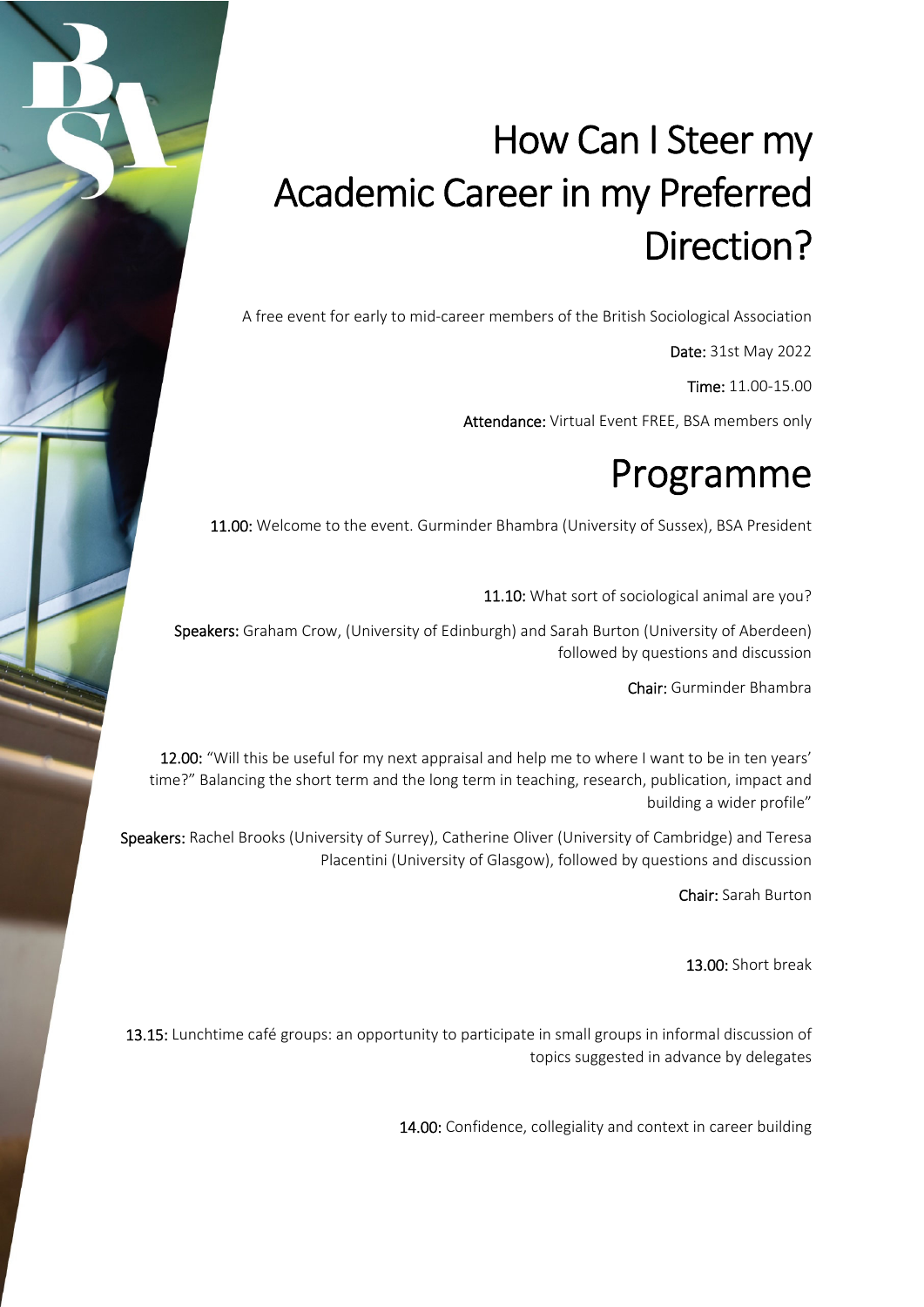## How Can I Steer my Academic Career in my Preferred Direction?

A free event for early to mid‐career members of the British Sociological Association

Date: 31st May 2022

Time: 11.00‐15.00

Attendance: Virtual Event FREE, BSA members only

## Programme

11.00: Welcome to the event. Gurminder Bhambra (University of Sussex), BSA President

11.10: What sort of sociological animal are you?

Speakers: Graham Crow, (University of Edinburgh) and Sarah Burton (University of Aberdeen) followed by questions and discussion

Chair: Gurminder Bhambra

12.00: "Will this be useful for my next appraisal and help me to where I want to be in ten years' time?" Balancing the short term and the long term in teaching, research, publication, impact and building a wider profile"

Speakers: Rachel Brooks (University of Surrey), Catherine Oliver (University of Cambridge) and Teresa Placentini (University of Glasgow), followed by questions and discussion

Chair: Sarah Burton

13.00: Short break

13.15: Lunchtime café groups: an opportunity to participate in small groups in informal discussion of topics suggested in advance by delegates

14.00: Confidence, collegiality and context in career building